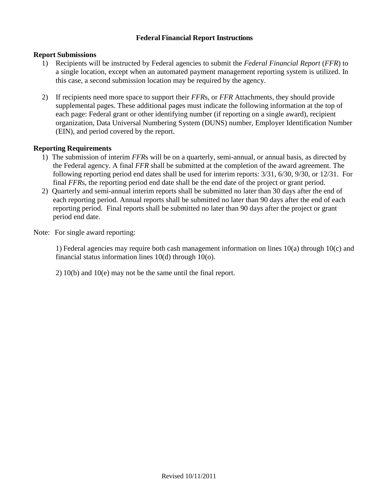## **Federal Financial Report Instructions**

### **Report Submissions**

- 1) Recipients will be instructed by Federal agencies to submit the *Federal Financial Report* (*FFR*) to a single location, except when an automated payment management reporting system is utilized. In this case, a second submission location may be required by the agency.
- 2) If recipients need more space to support their *FFR*s, or *FFR* Attachments, they should provide supplemental pages. These additional pages must indicate the following information at the top of each page: Federal grant or other identifying number (if reporting on a single award), recipient organization, Data Universal Numbering System (DUNS) number, Employer Identification Number (EIN), and period covered by the report.

### **Reporting Requirements**

- 1) The submission of interim *FFR*s will be on a quarterly, semi-annual, or annual basis, as directed by the Federal agency. A final *FFR* shall be submitted at the completion of the award agreement. The following reporting period end dates shall be used for interim reports: 3/31, 6/30, 9/30, or 12/31. For final *FFR*s, the reporting period end date shall be the end date of the project or grant period.
- 2) Quarterly and semi-annual interim reports shall be submitted no later than 30 days after the end of each reporting period. Annual reports shall be submitted no later than 90 days after the end of each reporting period. Final reports shall be submitted no later than 90 days after the project or grant period end date.
- Note: For single award reporting:

1) Federal agencies may require both cash management information on lines 10(a) through 10(c) and financial status information lines 10(d) through 10(o).

2) 10(b) and 10(e) may not be the same until the final report.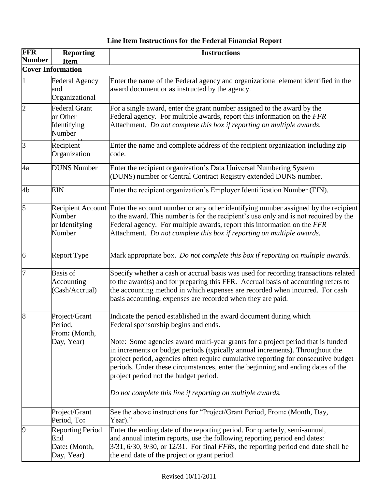#### **FFR Number Reporting Item Instructions Cover Information** 1 Federal Agency and Organizational 2 Federal Grant or Other Identifying Enter the name of the Federal agency and organizational element identified in the award document or as instructed by the agency. Number 3 Recipient Recipiei<br>Organiz  $\sigma$ <sub>b</sub>  $\mu$ For a single award, enter the grant number assigned to the award by the Federal agency. For multiple awards, report this information on the *FFR* Attachment. *Do not complete this box if reporting on multiple awards.* Organization Enter the name and complete address of the recipient organization including zip code. 4a DUNS Number Enter the recipient organization's Data Universal Numbering System (DUNS) number or Central Contract Registry extended DUNS number. 4b EIN Enter the recipient organization's Employer Identification Number (EIN). 5 Recipient Account Number or Identifying Number Enter the account number or any other identifying number assigned by the recipient to the award. This number is for the recipient's use only and is not required by the Federal agency. For multiple awards, report this information on the *FFR*  Attachment. *Do not complete this box if reporting on multiple awards.* 6 Report Type Mark appropriate box. *Do not complete this box if reporting on multiple awards.* 7 Basis of Accounting (Cash/Accrual) Specify whether a cash or accrual basis was used for recording transactions related to the award(s) and for preparing this FFR. Accrual basis of accounting refers to the accounting method in which expenses are recorded when incurred. For cash basis accounting, expenses are recorded when they are paid. 8 Project/Grant Period, From**:** (Month, Day, Year) Indicate the period established in the award document during which Federal sponsorship begins and ends. Note: Some agencies award multi-year grants for a project period that is funded in increments or budget periods (typically annual increments). Throughout the project period, agencies often require cumulative reporting for consecutive budget periods. Under these circumstances, enter the beginning and ending dates of the project period not the budget period. *Do not complete this line if reporting on multiple awards.* Project/Grant Period, To**:** 9 Reporting Period End See the above instructions for "Project/Grant Period, From**:** (Month, Day, Year)." Date: (Month, Day, Year) Enter the ending date of the reporting period. For quarterly, semi-annual, and annual interim reports, use the following reporting period end dates: 3/31, 6/30, 9/30, or 12/31. For final *FFR*s, the reporting period end date shall be the end date of the project or grant period.

# **Line Item Instructions for the Federal Financial Report**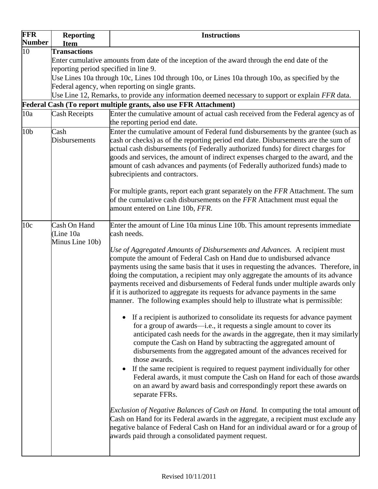| <b>FFR</b><br><b>Number</b>                                       | <b>Reporting</b>                      | <b>Instructions</b>                                                                                                                                                                                                                                                                                                                                                                                                                                                                                                                                                                                                                                                                                                                                                                                                                                                                                                                                                                                                                                                |  |  |  |  |
|-------------------------------------------------------------------|---------------------------------------|--------------------------------------------------------------------------------------------------------------------------------------------------------------------------------------------------------------------------------------------------------------------------------------------------------------------------------------------------------------------------------------------------------------------------------------------------------------------------------------------------------------------------------------------------------------------------------------------------------------------------------------------------------------------------------------------------------------------------------------------------------------------------------------------------------------------------------------------------------------------------------------------------------------------------------------------------------------------------------------------------------------------------------------------------------------------|--|--|--|--|
| $\overline{10}$                                                   | <b>Item</b><br><b>Transactions</b>    |                                                                                                                                                                                                                                                                                                                                                                                                                                                                                                                                                                                                                                                                                                                                                                                                                                                                                                                                                                                                                                                                    |  |  |  |  |
|                                                                   |                                       | Enter cumulative amounts from date of the inception of the award through the end date of the                                                                                                                                                                                                                                                                                                                                                                                                                                                                                                                                                                                                                                                                                                                                                                                                                                                                                                                                                                       |  |  |  |  |
|                                                                   | reporting period specified in line 9. |                                                                                                                                                                                                                                                                                                                                                                                                                                                                                                                                                                                                                                                                                                                                                                                                                                                                                                                                                                                                                                                                    |  |  |  |  |
|                                                                   |                                       | Use Lines 10a through 10c, Lines 10d through 10o, or Lines 10a through 10o, as specified by the                                                                                                                                                                                                                                                                                                                                                                                                                                                                                                                                                                                                                                                                                                                                                                                                                                                                                                                                                                    |  |  |  |  |
|                                                                   |                                       | Federal agency, when reporting on single grants.                                                                                                                                                                                                                                                                                                                                                                                                                                                                                                                                                                                                                                                                                                                                                                                                                                                                                                                                                                                                                   |  |  |  |  |
|                                                                   |                                       | Use Line 12, Remarks, to provide any information deemed necessary to support or explain FFR data.                                                                                                                                                                                                                                                                                                                                                                                                                                                                                                                                                                                                                                                                                                                                                                                                                                                                                                                                                                  |  |  |  |  |
| Federal Cash (To report multiple grants, also use FFR Attachment) |                                       |                                                                                                                                                                                                                                                                                                                                                                                                                                                                                                                                                                                                                                                                                                                                                                                                                                                                                                                                                                                                                                                                    |  |  |  |  |
| 10a                                                               | <b>Cash Receipts</b>                  | Enter the cumulative amount of actual cash received from the Federal agency as of<br>the reporting period end date.                                                                                                                                                                                                                                                                                                                                                                                                                                                                                                                                                                                                                                                                                                                                                                                                                                                                                                                                                |  |  |  |  |
| 10 <sub>b</sub>                                                   | Cash<br><b>Disbursements</b>          | Enter the cumulative amount of Federal fund disbursements by the grantee (such as<br>cash or checks) as of the reporting period end date. Disbursements are the sum of<br>actual cash disbursements (of Federally authorized funds) for direct charges for<br>goods and services, the amount of indirect expenses charged to the award, and the<br>amount of cash advances and payments (of Federally authorized funds) made to<br>subrecipients and contractors.<br>For multiple grants, report each grant separately on the FFR Attachment. The sum<br>of the cumulative cash disbursements on the FFR Attachment must equal the                                                                                                                                                                                                                                                                                                                                                                                                                                 |  |  |  |  |
|                                                                   | Cash On Hand                          | amount entered on Line 10b, FFR.<br>Enter the amount of Line 10a minus Line 10b. This amount represents immediate                                                                                                                                                                                                                                                                                                                                                                                                                                                                                                                                                                                                                                                                                                                                                                                                                                                                                                                                                  |  |  |  |  |
| 10 <sub>c</sub>                                                   | (Line 10a<br>Minus Line 10b)          | cash needs.<br>Use of Aggregated Amounts of Disbursements and Advances. A recipient must<br>compute the amount of Federal Cash on Hand due to undisbursed advance<br>payments using the same basis that it uses in requesting the advances. Therefore, in<br>doing the computation, a recipient may only aggregate the amounts of its advance<br>payments received and disbursements of Federal funds under multiple awards only<br>if it is authorized to aggregate its requests for advance payments in the same                                                                                                                                                                                                                                                                                                                                                                                                                                                                                                                                                 |  |  |  |  |
|                                                                   |                                       | manner. The following examples should help to illustrate what is permissible:<br>If a recipient is authorized to consolidate its requests for advance payment<br>for a group of awards—i.e., it requests a single amount to cover its<br>anticipated cash needs for the awards in the aggregate, then it may similarly<br>compute the Cash on Hand by subtracting the aggregated amount of<br>disbursements from the aggregated amount of the advances received for<br>those awards.<br>If the same recipient is required to request payment individually for other<br>Federal awards, it must compute the Cash on Hand for each of those awards<br>on an award by award basis and correspondingly report these awards on<br>separate FFRs.<br>Exclusion of Negative Balances of Cash on Hand. In computing the total amount of<br>Cash on Hand for its Federal awards in the aggregate, a recipient must exclude any<br>negative balance of Federal Cash on Hand for an individual award or for a group of<br>awards paid through a consolidated payment request. |  |  |  |  |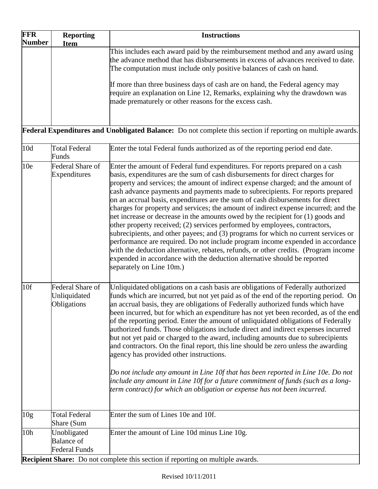| <b>FFR</b><br><b>Number</b>                                                                                 | <b>Reporting</b><br><b>Item</b>                                                       | <b>Instructions</b>                                                                                                                                                                                                                                                                                                                                                                                                                                                                                                                                                                                                                                                                                                                                                                                                                                                                                                                                                                                                                                  |  |  |  |
|-------------------------------------------------------------------------------------------------------------|---------------------------------------------------------------------------------------|------------------------------------------------------------------------------------------------------------------------------------------------------------------------------------------------------------------------------------------------------------------------------------------------------------------------------------------------------------------------------------------------------------------------------------------------------------------------------------------------------------------------------------------------------------------------------------------------------------------------------------------------------------------------------------------------------------------------------------------------------------------------------------------------------------------------------------------------------------------------------------------------------------------------------------------------------------------------------------------------------------------------------------------------------|--|--|--|
|                                                                                                             |                                                                                       | This includes each award paid by the reimbursement method and any award using<br>the advance method that has disbursements in excess of advances received to date.<br>The computation must include only positive balances of cash on hand.                                                                                                                                                                                                                                                                                                                                                                                                                                                                                                                                                                                                                                                                                                                                                                                                           |  |  |  |
|                                                                                                             |                                                                                       | If more than three business days of cash are on hand, the Federal agency may<br>require an explanation on Line 12, Remarks, explaining why the drawdown was<br>made prematurely or other reasons for the excess cash.                                                                                                                                                                                                                                                                                                                                                                                                                                                                                                                                                                                                                                                                                                                                                                                                                                |  |  |  |
| Federal Expenditures and Unobligated Balance: Do not complete this section if reporting on multiple awards. |                                                                                       |                                                                                                                                                                                                                                                                                                                                                                                                                                                                                                                                                                                                                                                                                                                                                                                                                                                                                                                                                                                                                                                      |  |  |  |
| 10d                                                                                                         | <b>Total Federal</b><br>Funds                                                         | Enter the total Federal funds authorized as of the reporting period end date.                                                                                                                                                                                                                                                                                                                                                                                                                                                                                                                                                                                                                                                                                                                                                                                                                                                                                                                                                                        |  |  |  |
| 10 <sub>e</sub>                                                                                             | Federal Share of<br>Expenditures                                                      | Enter the amount of Federal fund expenditures. For reports prepared on a cash<br>basis, expenditures are the sum of cash disbursements for direct charges for<br>property and services; the amount of indirect expense charged; and the amount of<br>cash advance payments and payments made to subrecipients. For reports prepared<br>on an accrual basis, expenditures are the sum of cash disbursements for direct<br>charges for property and services; the amount of indirect expense incurred; and the<br>net increase or decrease in the amounts owed by the recipient for (1) goods and<br>other property received; (2) services performed by employees, contractors,<br>subrecipients, and other payees; and (3) programs for which no current services or<br>performance are required. Do not include program income expended in accordance<br>with the deduction alternative, rebates, refunds, or other credits. (Program income<br>expended in accordance with the deduction alternative should be reported<br>separately on Line 10m.) |  |  |  |
| 10f                                                                                                         | Federal Share of<br>Unliquidated<br>Obligations                                       | Unliquidated obligations on a cash basis are obligations of Federally authorized<br>funds which are incurred, but not yet paid as of the end of the reporting period. On<br>an accrual basis, they are obligations of Federally authorized funds which have<br>been incurred, but for which an expenditure has not yet been recorded, as of the end<br>of the reporting period. Enter the amount of unliquidated obligations of Federally<br>authorized funds. Those obligations include direct and indirect expenses incurred<br>but not yet paid or charged to the award, including amounts due to subrecipients<br>and contractors. On the final report, this line should be zero unless the awarding<br>agency has provided other instructions.<br>Do not include any amount in Line 10f that has been reported in Line 10e. Do not<br>include any amount in Line 10f for a future commitment of funds (such as a long-<br>term contract) for which an obligation or expense has not been incurred.                                              |  |  |  |
| 10 <sub>g</sub>                                                                                             | <b>Total Federal</b><br>Share (Sum                                                    | Enter the sum of Lines 10e and 10f.                                                                                                                                                                                                                                                                                                                                                                                                                                                                                                                                                                                                                                                                                                                                                                                                                                                                                                                                                                                                                  |  |  |  |
| 10 <sub>h</sub>                                                                                             | Unobligated<br><b>Balance</b> of<br><b>Federal Funds</b>                              | Enter the amount of Line 10d minus Line 10g.                                                                                                                                                                                                                                                                                                                                                                                                                                                                                                                                                                                                                                                                                                                                                                                                                                                                                                                                                                                                         |  |  |  |
|                                                                                                             | <b>Recipient Share:</b> Do not complete this section if reporting on multiple awards. |                                                                                                                                                                                                                                                                                                                                                                                                                                                                                                                                                                                                                                                                                                                                                                                                                                                                                                                                                                                                                                                      |  |  |  |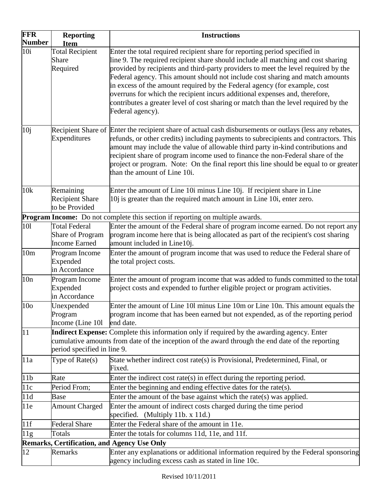| <b>FFR</b><br><b>Number</b>                        | <b>Reporting</b><br><b>Item</b>                       | <b>Instructions</b>                                                                                                                                                                                                                                                                                                                                                                                                                                                                                                             |  |  |
|----------------------------------------------------|-------------------------------------------------------|---------------------------------------------------------------------------------------------------------------------------------------------------------------------------------------------------------------------------------------------------------------------------------------------------------------------------------------------------------------------------------------------------------------------------------------------------------------------------------------------------------------------------------|--|--|
| 10i                                                | <b>Total Recipient</b>                                | Enter the total required recipient share for reporting period specified in                                                                                                                                                                                                                                                                                                                                                                                                                                                      |  |  |
|                                                    | Share<br>Required                                     | line 9. The required recipient share should include all matching and cost sharing<br>provided by recipients and third-party providers to meet the level required by the<br>Federal agency. This amount should not include cost sharing and match amounts<br>in excess of the amount required by the Federal agency (for example, cost<br>overruns for which the recipient incurs additional expenses and, therefore,<br>contributes a greater level of cost sharing or match than the level required by the<br>Federal agency). |  |  |
| 10j                                                | Expenditures                                          | Recipient Share of Enter the recipient share of actual cash disbursements or outlays (less any rebates,<br>refunds, or other credits) including payments to subrecipients and contractors. This<br>amount may include the value of allowable third party in-kind contributions and<br>recipient share of program income used to finance the non-Federal share of the<br>project or program. Note: On the final report this line should be equal to or greater<br>than the amount of Line 10i.                                   |  |  |
| 10k                                                | Remaining<br><b>Recipient Share</b><br>to be Provided | Enter the amount of Line 10i minus Line 10j. If recipient share in Line<br>10j is greater than the required match amount in Line 10i, enter zero.                                                                                                                                                                                                                                                                                                                                                                               |  |  |
|                                                    |                                                       | Program Income: Do not complete this section if reporting on multiple awards.                                                                                                                                                                                                                                                                                                                                                                                                                                                   |  |  |
| 101                                                | <b>Total Federal</b>                                  | Enter the amount of the Federal share of program income earned. Do not report any                                                                                                                                                                                                                                                                                                                                                                                                                                               |  |  |
|                                                    | Share of Program<br><b>Income Earned</b>              | program income here that is being allocated as part of the recipient's cost sharing<br>amount included in Line10j.                                                                                                                                                                                                                                                                                                                                                                                                              |  |  |
| 10 <sub>m</sub>                                    | Program Income<br>Expended<br>in Accordance           | Enter the amount of program income that was used to reduce the Federal share of<br>the total project costs.                                                                                                                                                                                                                                                                                                                                                                                                                     |  |  |
| 10n                                                | Program Income<br>Expended<br>in Accordance           | Enter the amount of program income that was added to funds committed to the total<br>project costs and expended to further eligible project or program activities.                                                                                                                                                                                                                                                                                                                                                              |  |  |
| 10 <sub>o</sub>                                    | Unexpended<br>Program<br>Income (Line 101             | Enter the amount of Line 101 minus Line 10m or Line 10n. This amount equals the<br>program income that has been earned but not expended, as of the reporting period<br>end date.                                                                                                                                                                                                                                                                                                                                                |  |  |
| 11                                                 | period specified in line 9.                           | Indirect Expense: Complete this information only if required by the awarding agency. Enter<br>cumulative amounts from date of the inception of the award through the end date of the reporting                                                                                                                                                                                                                                                                                                                                  |  |  |
| 11a                                                | Type of $Rate(s)$                                     | State whether indirect cost rate(s) is Provisional, Predetermined, Final, or<br>Fixed.                                                                                                                                                                                                                                                                                                                                                                                                                                          |  |  |
| 11 <sub>b</sub>                                    | Rate                                                  | Enter the indirect cost rate(s) in effect during the reporting period.                                                                                                                                                                                                                                                                                                                                                                                                                                                          |  |  |
| 11c                                                | Period From;                                          | Enter the beginning and ending effective dates for the rate(s).                                                                                                                                                                                                                                                                                                                                                                                                                                                                 |  |  |
| 11d                                                | <b>Base</b>                                           | Enter the amount of the base against which the rate(s) was applied.                                                                                                                                                                                                                                                                                                                                                                                                                                                             |  |  |
| 11e                                                | <b>Amount Charged</b>                                 | Enter the amount of indirect costs charged during the time period<br>specified. (Multiply 11b. x 11d.)                                                                                                                                                                                                                                                                                                                                                                                                                          |  |  |
| 11f                                                | <b>Federal Share</b>                                  | Enter the Federal share of the amount in 11e.                                                                                                                                                                                                                                                                                                                                                                                                                                                                                   |  |  |
| 11g                                                | Totals                                                | Enter the totals for columns 11d, 11e, and 11f.                                                                                                                                                                                                                                                                                                                                                                                                                                                                                 |  |  |
| <b>Remarks, Certification, and Agency Use Only</b> |                                                       |                                                                                                                                                                                                                                                                                                                                                                                                                                                                                                                                 |  |  |
| 12                                                 | Remarks                                               | Enter any explanations or additional information required by the Federal sponsoring<br>agency including excess cash as stated in line 10c.                                                                                                                                                                                                                                                                                                                                                                                      |  |  |